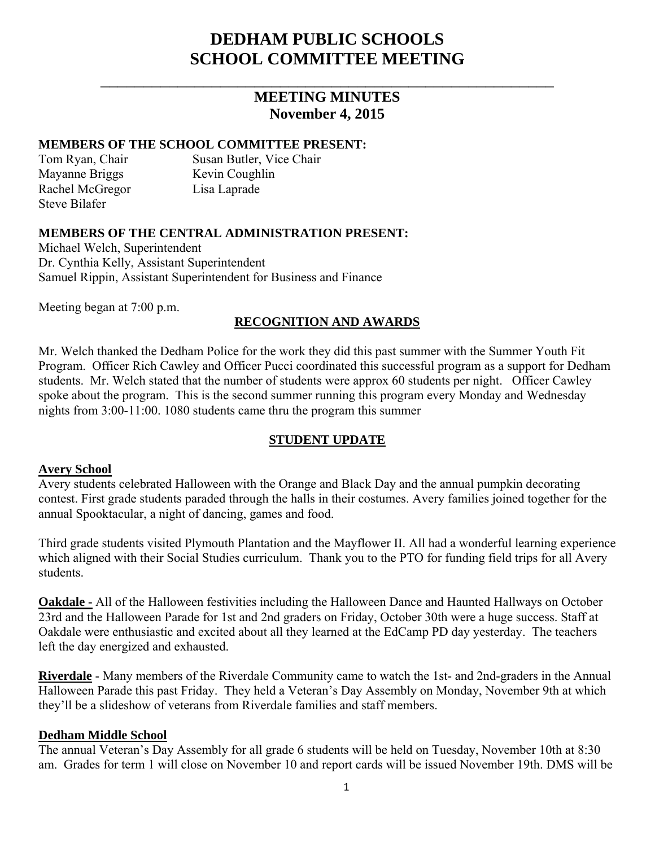# **DEDHAM PUBLIC SCHOOLS SCHOOL COMMITTEE MEETING**

## **MEETING MINUTES November 4, 2015**

 $\overline{\phantom{a}}$  , and the contribution of the contribution of the contribution of the contribution of the contribution of the contribution of the contribution of the contribution of the contribution of the contribution of the

#### **MEMBERS OF THE SCHOOL COMMITTEE PRESENT:**

Mayanne Briggs Kevin Coughlin Rachel McGregor Lisa Laprade Steve Bilafer

Tom Ryan, Chair Susan Butler, Vice Chair

#### **MEMBERS OF THE CENTRAL ADMINISTRATION PRESENT:**

Michael Welch, Superintendent Dr. Cynthia Kelly, Assistant Superintendent Samuel Rippin, Assistant Superintendent for Business and Finance

Meeting began at 7:00 p.m.

#### **RECOGNITION AND AWARDS**

Mr. Welch thanked the Dedham Police for the work they did this past summer with the Summer Youth Fit Program. Officer Rich Cawley and Officer Pucci coordinated this successful program as a support for Dedham students. Mr. Welch stated that the number of students were approx 60 students per night. Officer Cawley spoke about the program. This is the second summer running this program every Monday and Wednesday nights from 3:00-11:00. 1080 students came thru the program this summer

### **STUDENT UPDATE**

#### **Avery School**

Avery students celebrated Halloween with the Orange and Black Day and the annual pumpkin decorating contest. First grade students paraded through the halls in their costumes. Avery families joined together for the annual Spooktacular, a night of dancing, games and food.

Third grade students visited Plymouth Plantation and the Mayflower II. All had a wonderful learning experience which aligned with their Social Studies curriculum. Thank you to the PTO for funding field trips for all Avery students.

**Oakdale -** All of the Halloween festivities including the Halloween Dance and Haunted Hallways on October 23rd and the Halloween Parade for 1st and 2nd graders on Friday, October 30th were a huge success. Staff at Oakdale were enthusiastic and excited about all they learned at the EdCamp PD day yesterday. The teachers left the day energized and exhausted.

**Riverdale** - Many members of the Riverdale Community came to watch the 1st- and 2nd-graders in the Annual Halloween Parade this past Friday. They held a Veteran's Day Assembly on Monday, November 9th at which they'll be a slideshow of veterans from Riverdale families and staff members.

#### **Dedham Middle School**

The annual Veteran's Day Assembly for all grade 6 students will be held on Tuesday, November 10th at 8:30 am. Grades for term 1 will close on November 10 and report cards will be issued November 19th. DMS will be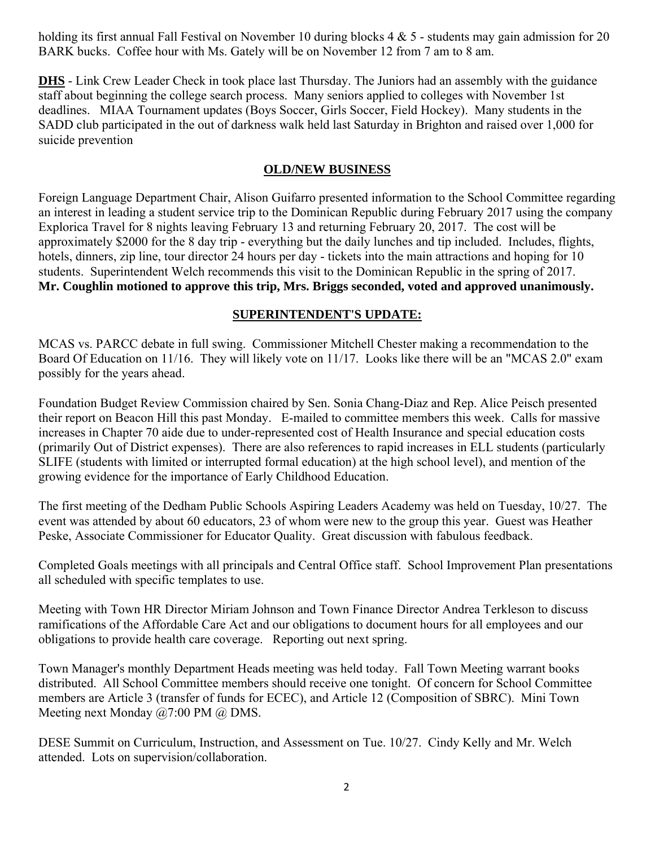holding its first annual Fall Festival on November 10 during blocks 4 & 5 - students may gain admission for 20 BARK bucks. Coffee hour with Ms. Gately will be on November 12 from 7 am to 8 am.

**DHS** - Link Crew Leader Check in took place last Thursday. The Juniors had an assembly with the guidance staff about beginning the college search process. Many seniors applied to colleges with November 1st deadlines. MIAA Tournament updates (Boys Soccer, Girls Soccer, Field Hockey). Many students in the SADD club participated in the out of darkness walk held last Saturday in Brighton and raised over 1,000 for suicide prevention

#### **OLD/NEW BUSINESS**

Foreign Language Department Chair, Alison Guifarro presented information to the School Committee regarding an interest in leading a student service trip to the Dominican Republic during February 2017 using the company Explorica Travel for 8 nights leaving February 13 and returning February 20, 2017. The cost will be approximately \$2000 for the 8 day trip - everything but the daily lunches and tip included. Includes, flights, hotels, dinners, zip line, tour director 24 hours per day - tickets into the main attractions and hoping for 10 students. Superintendent Welch recommends this visit to the Dominican Republic in the spring of 2017. **Mr. Coughlin motioned to approve this trip, Mrs. Briggs seconded, voted and approved unanimously.** 

#### **SUPERINTENDENT'S UPDATE:**

MCAS vs. PARCC debate in full swing. Commissioner Mitchell Chester making a recommendation to the Board Of Education on 11/16. They will likely vote on 11/17. Looks like there will be an "MCAS 2.0" exam possibly for the years ahead.

Foundation Budget Review Commission chaired by Sen. Sonia Chang-Diaz and Rep. Alice Peisch presented their report on Beacon Hill this past Monday. E-mailed to committee members this week. Calls for massive increases in Chapter 70 aide due to under-represented cost of Health Insurance and special education costs (primarily Out of District expenses). There are also references to rapid increases in ELL students (particularly SLIFE (students with limited or interrupted formal education) at the high school level), and mention of the growing evidence for the importance of Early Childhood Education.

The first meeting of the Dedham Public Schools Aspiring Leaders Academy was held on Tuesday, 10/27. The event was attended by about 60 educators, 23 of whom were new to the group this year. Guest was Heather Peske, Associate Commissioner for Educator Quality. Great discussion with fabulous feedback.

Completed Goals meetings with all principals and Central Office staff. School Improvement Plan presentations all scheduled with specific templates to use.

Meeting with Town HR Director Miriam Johnson and Town Finance Director Andrea Terkleson to discuss ramifications of the Affordable Care Act and our obligations to document hours for all employees and our obligations to provide health care coverage. Reporting out next spring.

Town Manager's monthly Department Heads meeting was held today. Fall Town Meeting warrant books distributed. All School Committee members should receive one tonight. Of concern for School Committee members are Article 3 (transfer of funds for ECEC), and Article 12 (Composition of SBRC). Mini Town Meeting next Monday @7:00 PM @ DMS.

DESE Summit on Curriculum, Instruction, and Assessment on Tue. 10/27. Cindy Kelly and Mr. Welch attended. Lots on supervision/collaboration.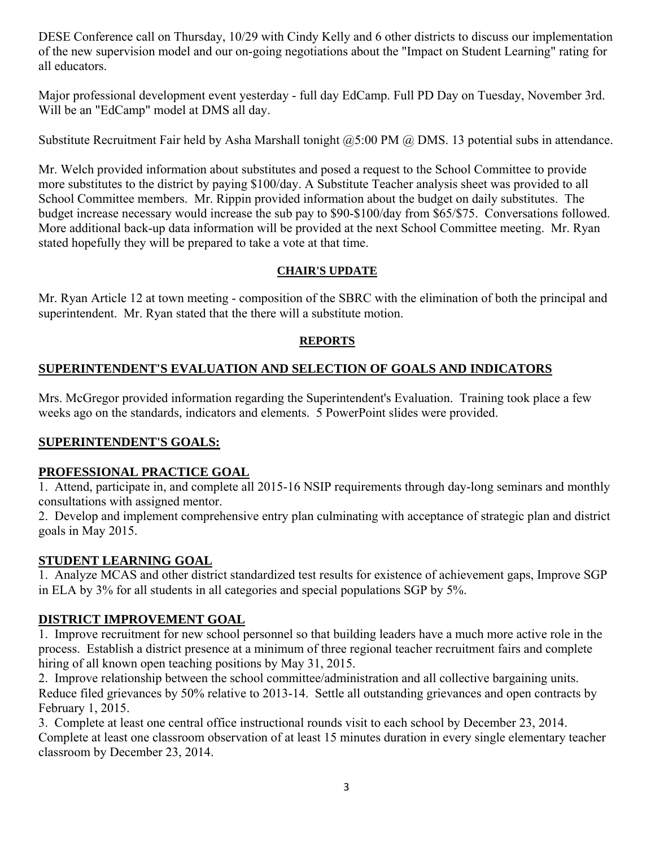DESE Conference call on Thursday, 10/29 with Cindy Kelly and 6 other districts to discuss our implementation of the new supervision model and our on-going negotiations about the "Impact on Student Learning" rating for all educators.

Major professional development event yesterday - full day EdCamp. Full PD Day on Tuesday, November 3rd. Will be an "EdCamp" model at DMS all day.

Substitute Recruitment Fair held by Asha Marshall tonight @5:00 PM @ DMS. 13 potential subs in attendance.

Mr. Welch provided information about substitutes and posed a request to the School Committee to provide more substitutes to the district by paying \$100/day. A Substitute Teacher analysis sheet was provided to all School Committee members. Mr. Rippin provided information about the budget on daily substitutes. The budget increase necessary would increase the sub pay to \$90-\$100/day from \$65/\$75. Conversations followed. More additional back-up data information will be provided at the next School Committee meeting. Mr. Ryan stated hopefully they will be prepared to take a vote at that time.

### **CHAIR'S UPDATE**

Mr. Ryan Article 12 at town meeting - composition of the SBRC with the elimination of both the principal and superintendent. Mr. Ryan stated that the there will a substitute motion.

### **REPORTS**

### **SUPERINTENDENT'S EVALUATION AND SELECTION OF GOALS AND INDICATORS**

Mrs. McGregor provided information regarding the Superintendent's Evaluation. Training took place a few weeks ago on the standards, indicators and elements. 5 PowerPoint slides were provided.

### **SUPERINTENDENT'S GOALS:**

### **PROFESSIONAL PRACTICE GOAL**

1. Attend, participate in, and complete all 2015-16 NSIP requirements through day-long seminars and monthly consultations with assigned mentor.

2. Develop and implement comprehensive entry plan culminating with acceptance of strategic plan and district goals in May 2015.

### **STUDENT LEARNING GOAL**

1. Analyze MCAS and other district standardized test results for existence of achievement gaps, Improve SGP in ELA by 3% for all students in all categories and special populations SGP by 5%.

### **DISTRICT IMPROVEMENT GOAL**

1. Improve recruitment for new school personnel so that building leaders have a much more active role in the process. Establish a district presence at a minimum of three regional teacher recruitment fairs and complete hiring of all known open teaching positions by May 31, 2015.

2. Improve relationship between the school committee/administration and all collective bargaining units. Reduce filed grievances by 50% relative to 2013-14. Settle all outstanding grievances and open contracts by February 1, 2015.

3. Complete at least one central office instructional rounds visit to each school by December 23, 2014. Complete at least one classroom observation of at least 15 minutes duration in every single elementary teacher classroom by December 23, 2014.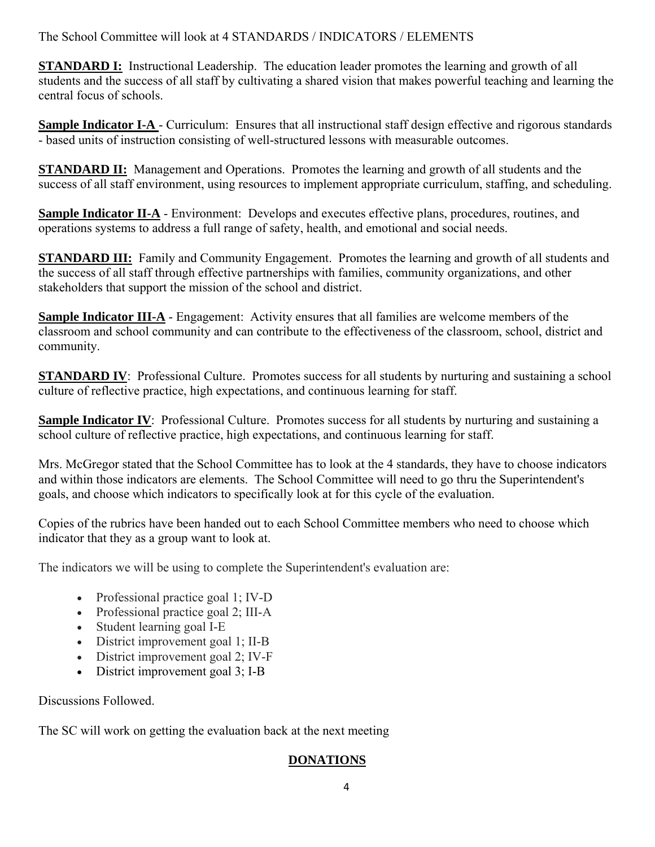The School Committee will look at 4 STANDARDS / INDICATORS / ELEMENTS

**STANDARD I:** Instructional Leadership. The education leader promotes the learning and growth of all students and the success of all staff by cultivating a shared vision that makes powerful teaching and learning the central focus of schools.

**Sample Indicator I-A** - Curriculum: Ensures that all instructional staff design effective and rigorous standards - based units of instruction consisting of well-structured lessons with measurable outcomes.

**STANDARD II:** Management and Operations. Promotes the learning and growth of all students and the success of all staff environment, using resources to implement appropriate curriculum, staffing, and scheduling.

**Sample Indicator II-A** - Environment: Develops and executes effective plans, procedures, routines, and operations systems to address a full range of safety, health, and emotional and social needs.

**STANDARD III:** Family and Community Engagement. Promotes the learning and growth of all students and the success of all staff through effective partnerships with families, community organizations, and other stakeholders that support the mission of the school and district.

**Sample Indicator III-A** - Engagement: Activity ensures that all families are welcome members of the classroom and school community and can contribute to the effectiveness of the classroom, school, district and community.

**STANDARD IV**: Professional Culture. Promotes success for all students by nurturing and sustaining a school culture of reflective practice, high expectations, and continuous learning for staff.

**Sample Indicator IV**: Professional Culture. Promotes success for all students by nurturing and sustaining a school culture of reflective practice, high expectations, and continuous learning for staff.

Mrs. McGregor stated that the School Committee has to look at the 4 standards, they have to choose indicators and within those indicators are elements. The School Committee will need to go thru the Superintendent's goals, and choose which indicators to specifically look at for this cycle of the evaluation.

Copies of the rubrics have been handed out to each School Committee members who need to choose which indicator that they as a group want to look at.

The indicators we will be using to complete the Superintendent's evaluation are:

- Professional practice goal 1; IV-D
- Professional practice goal 2; III-A
- Student learning goal I-E
- District improvement goal 1; II-B
- District improvement goal 2; IV-F
- District improvement goal 3; I-B

Discussions Followed.

The SC will work on getting the evaluation back at the next meeting

### **DONATIONS**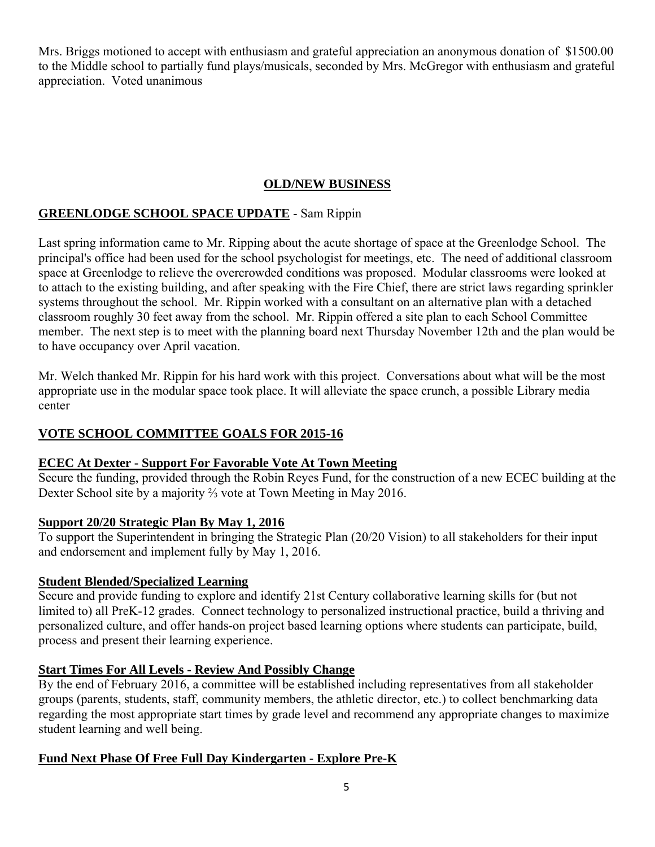Mrs. Briggs motioned to accept with enthusiasm and grateful appreciation an anonymous donation of \$1500.00 to the Middle school to partially fund plays/musicals, seconded by Mrs. McGregor with enthusiasm and grateful appreciation. Voted unanimous

### **OLD/NEW BUSINESS**

### **GREENLODGE SCHOOL SPACE UPDATE** - Sam Rippin

Last spring information came to Mr. Ripping about the acute shortage of space at the Greenlodge School. The principal's office had been used for the school psychologist for meetings, etc. The need of additional classroom space at Greenlodge to relieve the overcrowded conditions was proposed. Modular classrooms were looked at to attach to the existing building, and after speaking with the Fire Chief, there are strict laws regarding sprinkler systems throughout the school. Mr. Rippin worked with a consultant on an alternative plan with a detached classroom roughly 30 feet away from the school. Mr. Rippin offered a site plan to each School Committee member. The next step is to meet with the planning board next Thursday November 12th and the plan would be to have occupancy over April vacation.

Mr. Welch thanked Mr. Rippin for his hard work with this project. Conversations about what will be the most appropriate use in the modular space took place. It will alleviate the space crunch, a possible Library media center

### **VOTE SCHOOL COMMITTEE GOALS FOR 2015-16**

### **ECEC At Dexter - Support For Favorable Vote At Town Meeting**

Secure the funding, provided through the Robin Reyes Fund, for the construction of a new ECEC building at the Dexter School site by a majority ⅔ vote at Town Meeting in May 2016.

### **Support 20/20 Strategic Plan By May 1, 2016**

To support the Superintendent in bringing the Strategic Plan (20/20 Vision) to all stakeholders for their input and endorsement and implement fully by May 1, 2016.

### **Student Blended/Specialized Learning**

Secure and provide funding to explore and identify 21st Century collaborative learning skills for (but not limited to) all PreK-12 grades. Connect technology to personalized instructional practice, build a thriving and personalized culture, and offer hands-on project based learning options where students can participate, build, process and present their learning experience.

### **Start Times For All Levels - Review And Possibly Change**

By the end of February 2016, a committee will be established including representatives from all stakeholder groups (parents, students, staff, community members, the athletic director, etc.) to collect benchmarking data regarding the most appropriate start times by grade level and recommend any appropriate changes to maximize student learning and well being.

### **Fund Next Phase Of Free Full Day Kindergarten - Explore Pre-K**